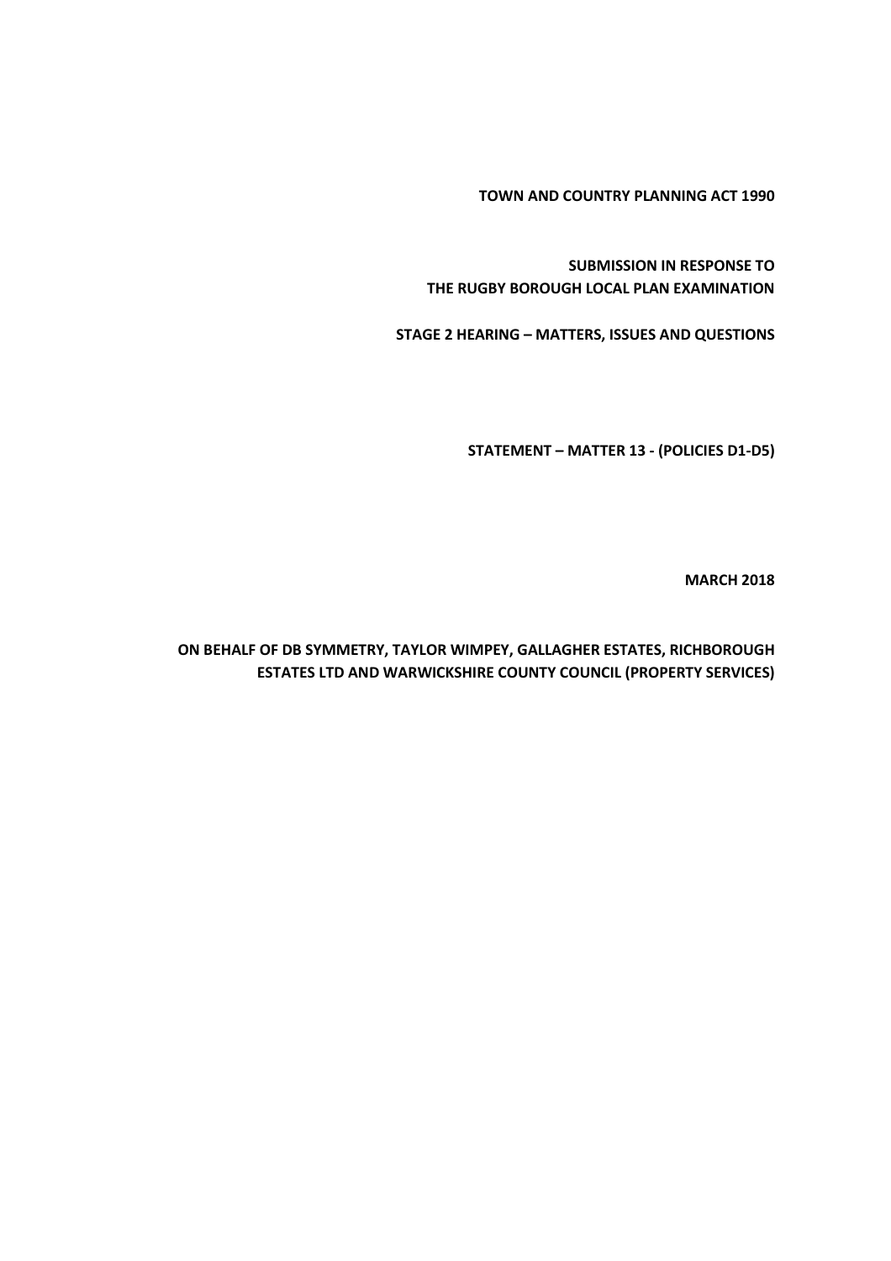**TOWN AND COUNTRY PLANNING ACT 1990**

**SUBMISSION IN RESPONSE TO THE RUGBY BOROUGH LOCAL PLAN EXAMINATION**

**STAGE 2 HEARING – MATTERS, ISSUES AND QUESTIONS**

**STATEMENT – MATTER 13 - (POLICIES D1-D5)**

**MARCH 2018**

**ON BEHALF OF DB SYMMETRY, TAYLOR WIMPEY, GALLAGHER ESTATES, RICHBOROUGH ESTATES LTD AND WARWICKSHIRE COUNTY COUNCIL (PROPERTY SERVICES)**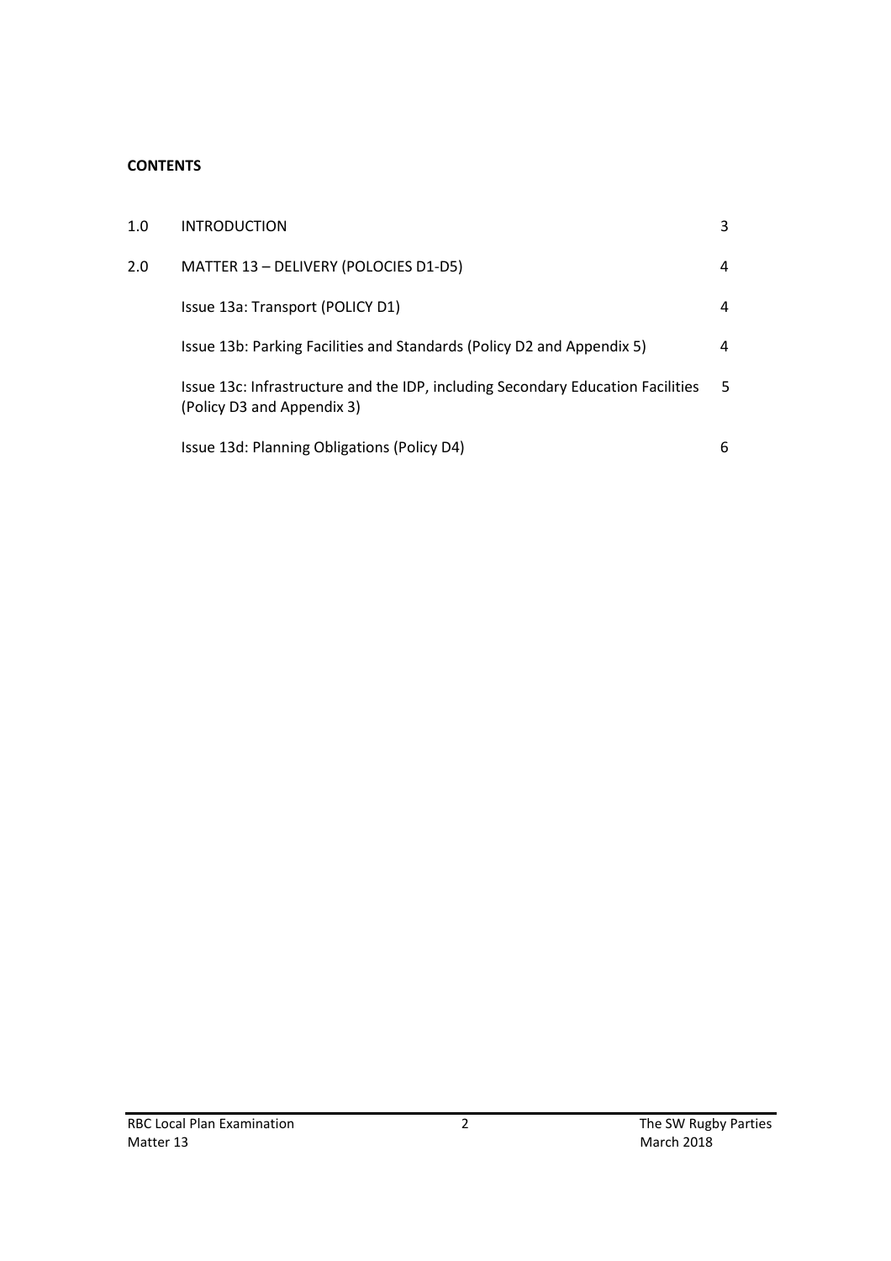### **CONTENTS**

| 1.0 | <b>INTRODUCTION</b>                                                                                           | 3 |
|-----|---------------------------------------------------------------------------------------------------------------|---|
| 2.0 | MATTER 13 - DELIVERY (POLOCIES D1-D5)                                                                         | 4 |
|     | Issue 13a: Transport (POLICY D1)                                                                              | 4 |
|     | Issue 13b: Parking Facilities and Standards (Policy D2 and Appendix 5)                                        | 4 |
|     | Issue 13c: Infrastructure and the IDP, including Secondary Education Facilities<br>(Policy D3 and Appendix 3) | 5 |
|     | Issue 13d: Planning Obligations (Policy D4)                                                                   | 6 |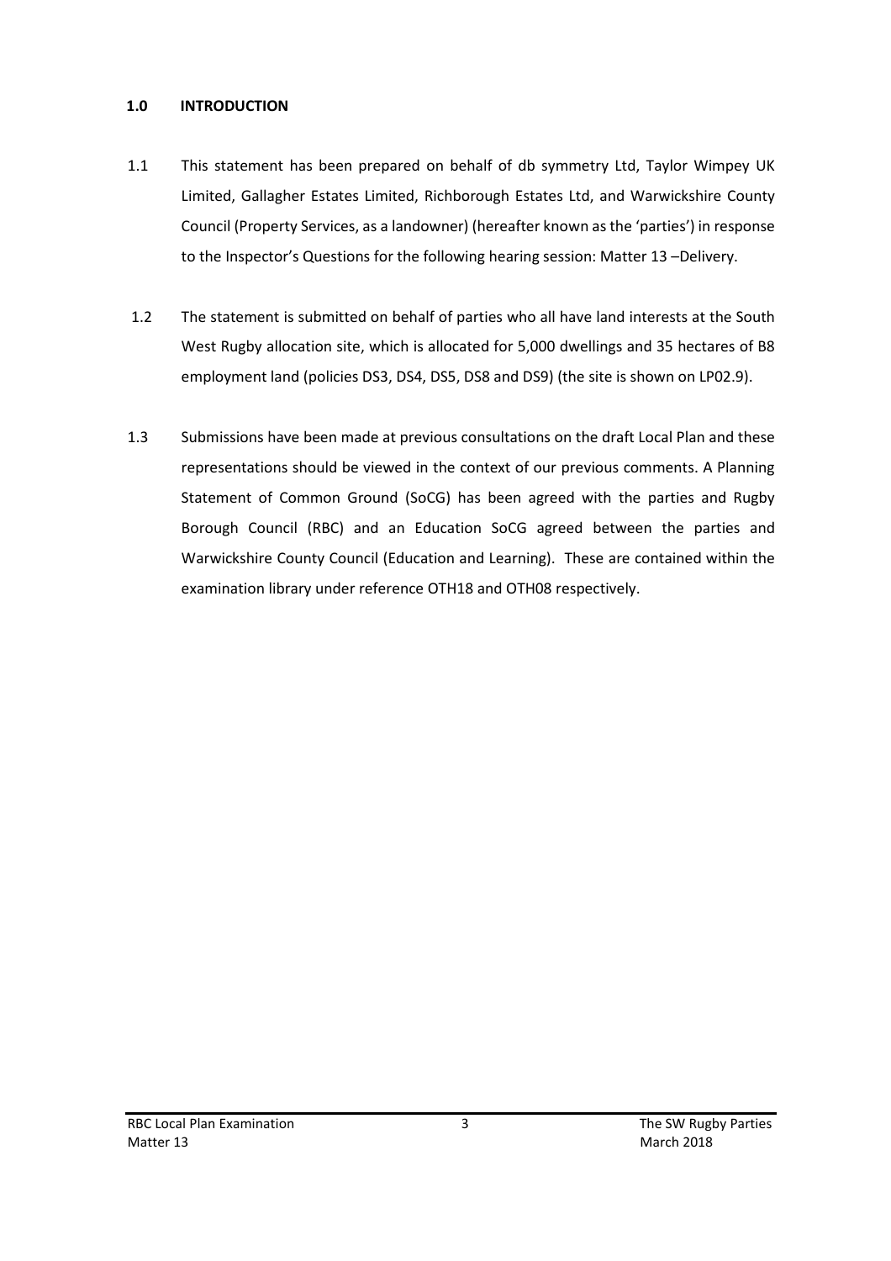### **1.0 INTRODUCTION**

- 1.1 This statement has been prepared on behalf of db symmetry Ltd, Taylor Wimpey UK Limited, Gallagher Estates Limited, Richborough Estates Ltd, and Warwickshire County Council (Property Services, as a landowner) (hereafter known as the 'parties') in response to the Inspector's Questions for the following hearing session: Matter 13 –Delivery.
- 1.2 The statement is submitted on behalf of parties who all have land interests at the South West Rugby allocation site, which is allocated for 5,000 dwellings and 35 hectares of B8 employment land (policies DS3, DS4, DS5, DS8 and DS9) (the site is shown on LP02.9).
- 1.3 Submissions have been made at previous consultations on the draft Local Plan and these representations should be viewed in the context of our previous comments. A Planning Statement of Common Ground (SoCG) has been agreed with the parties and Rugby Borough Council (RBC) and an Education SoCG agreed between the parties and Warwickshire County Council (Education and Learning). These are contained within the examination library under reference OTH18 and OTH08 respectively.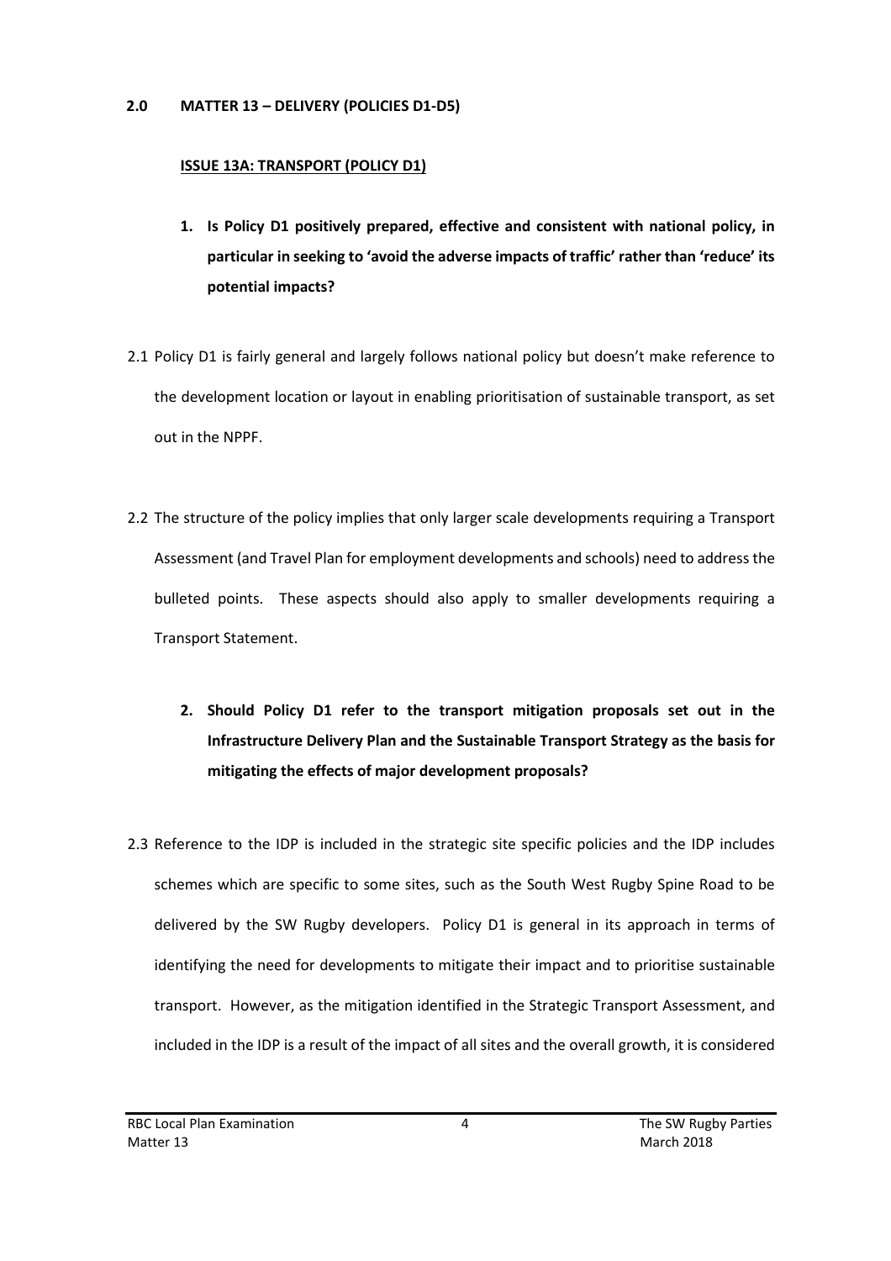#### **2.0 MATTER 13 – DELIVERY (POLICIES D1-D5)**

#### **ISSUE 13A: TRANSPORT (POLICY D1)**

- **1. Is Policy D1 positively prepared, effective and consistent with national policy, in particular in seeking to 'avoid the adverse impacts of traffic' rather than 'reduce' its potential impacts?**
- 2.1 Policy D1 is fairly general and largely follows national policy but doesn't make reference to the development location or layout in enabling prioritisation of sustainable transport, as set out in the NPPF.
- 2.2 The structure of the policy implies that only larger scale developments requiring a Transport Assessment (and Travel Plan for employment developments and schools) need to address the bulleted points. These aspects should also apply to smaller developments requiring a Transport Statement.
	- **2. Should Policy D1 refer to the transport mitigation proposals set out in the Infrastructure Delivery Plan and the Sustainable Transport Strategy as the basis for mitigating the effects of major development proposals?**
- 2.3 Reference to the IDP is included in the strategic site specific policies and the IDP includes schemes which are specific to some sites, such as the South West Rugby Spine Road to be delivered by the SW Rugby developers. Policy D1 is general in its approach in terms of identifying the need for developments to mitigate their impact and to prioritise sustainable transport. However, as the mitigation identified in the Strategic Transport Assessment, and included in the IDP is a result of the impact of all sites and the overall growth, it is considered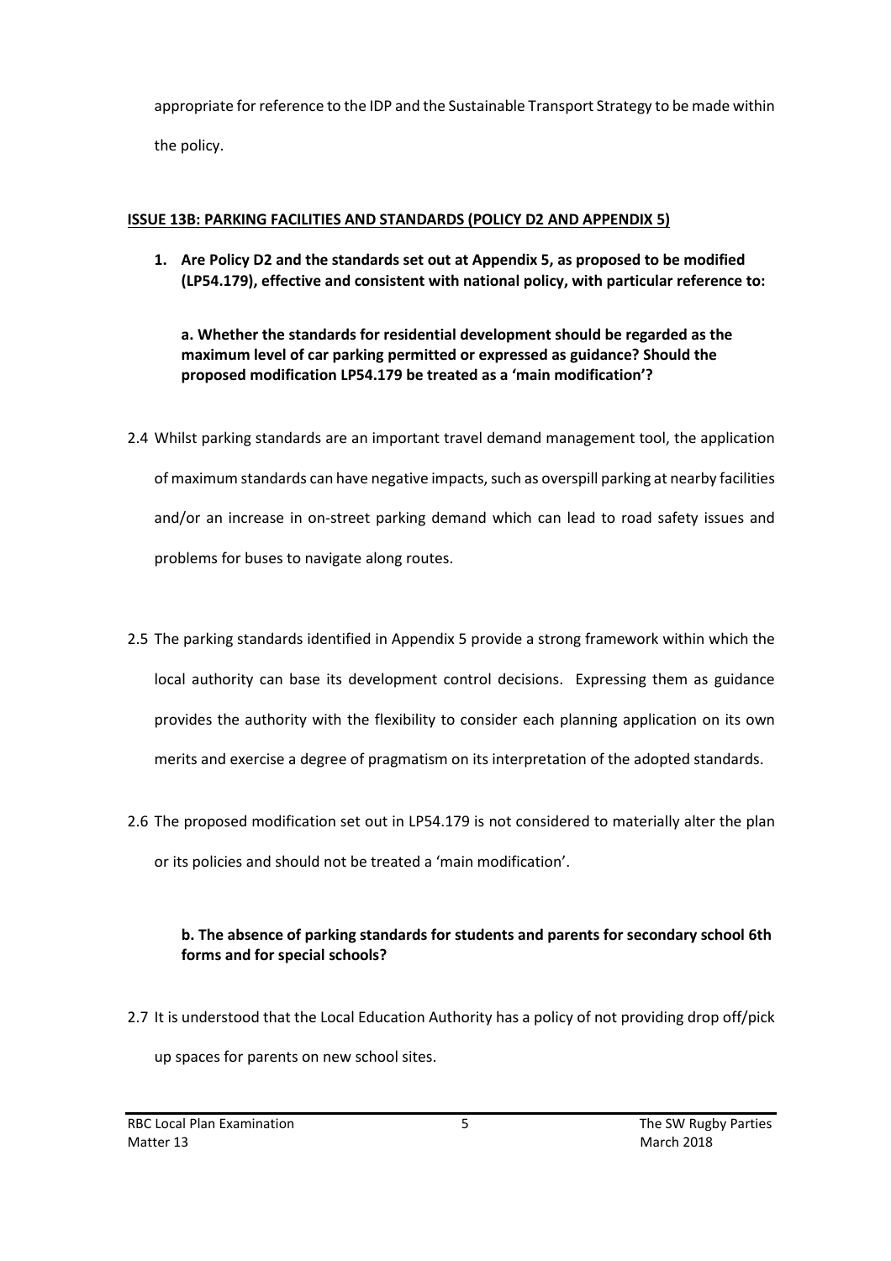appropriate for reference to the IDP and the Sustainable Transport Strategy to be made within the policy.

#### **ISSUE 13B: PARKING FACILITIES AND STANDARDS (POLICY D2 AND APPENDIX 5)**

**1. Are Policy D2 and the standards set out at Appendix 5, as proposed to be modified (LP54.179), effective and consistent with national policy, with particular reference to:**

**a. Whether the standards for residential development should be regarded as the maximum level of car parking permitted or expressed as guidance? Should the proposed modification LP54.179 be treated as a 'main modification'?**

- 2.4 Whilst parking standards are an important travel demand management tool, the application of maximum standards can have negative impacts, such as overspill parking at nearby facilities and/or an increase in on-street parking demand which can lead to road safety issues and problems for buses to navigate along routes.
- 2.5 The parking standards identified in Appendix 5 provide a strong framework within which the local authority can base its development control decisions. Expressing them as guidance provides the authority with the flexibility to consider each planning application on its own merits and exercise a degree of pragmatism on its interpretation of the adopted standards.
- 2.6 The proposed modification set out in LP54.179 is not considered to materially alter the plan or its policies and should not be treated a 'main modification'.

## **b. The absence of parking standards for students and parents for secondary school 6th forms and for special schools?**

2.7 It is understood that the Local Education Authority has a policy of not providing drop off/pick up spaces for parents on new school sites.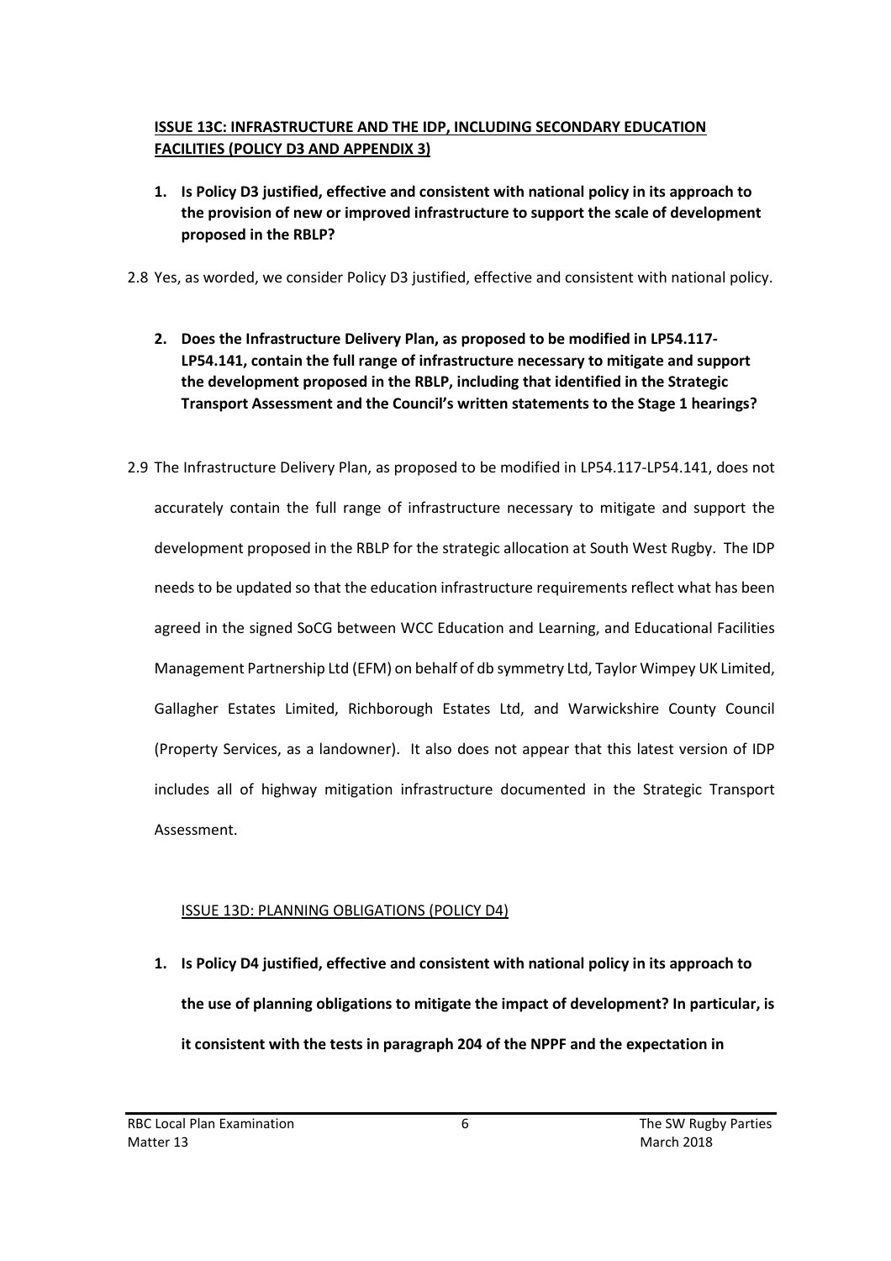# **ISSUE 13C: INFRASTRUCTURE AND THE IDP, INCLUDING SECONDARY EDUCATION FACILITIES (POLICY D3 AND APPENDIX 3)**

**1. Is Policy D3 justified, effective and consistent with national policy in its approach to the provision of new or improved infrastructure to support the scale of development proposed in the RBLP?**

2.8 Yes, as worded, we consider Policy D3 justified, effective and consistent with national policy.

- **2. Does the Infrastructure Delivery Plan, as proposed to be modified in LP54.117- LP54.141, contain the full range of infrastructure necessary to mitigate and support the development proposed in the RBLP, including that identified in the Strategic Transport Assessment and the Council's written statements to the Stage 1 hearings?**
- 2.9 The Infrastructure Delivery Plan, as proposed to be modified in LP54.117-LP54.141, does not accurately contain the full range of infrastructure necessary to mitigate and support the development proposed in the RBLP for the strategic allocation at South West Rugby. The IDP needs to be updated so that the education infrastructure requirements reflect what has been agreed in the signed SoCG between WCC Education and Learning, and Educational Facilities Management Partnership Ltd (EFM) on behalf of db symmetry Ltd, Taylor Wimpey UK Limited, Gallagher Estates Limited, Richborough Estates Ltd, and Warwickshire County Council (Property Services, as a landowner). It also does not appear that this latest version of IDP includes all of highway mitigation infrastructure documented in the Strategic Transport Assessment.

# ISSUE 13D: PLANNING OBLIGATIONS (POLICY D4)

**1. Is Policy D4 justified, effective and consistent with national policy in its approach to the use of planning obligations to mitigate the impact of development? In particular, is it consistent with the tests in paragraph 204 of the NPPF and the expectation in**